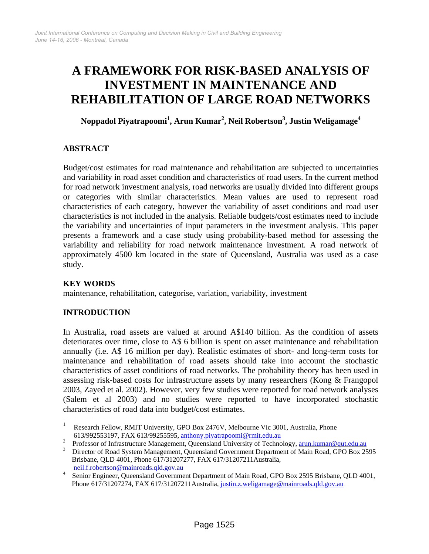# **A FRAMEWORK FOR RISK-BASED ANALYSIS OF INVESTMENT IN MAINTENANCE AND REHABILITATION OF LARGE ROAD NETWORKS**

**Noppadol Piyatrapoomi<sup>1</sup> , Arun Kumar2 , Neil Robertson3 , Justin Weligamage4** 

# **ABSTRACT**

Budget/cost estimates for road maintenance and rehabilitation are subjected to uncertainties and variability in road asset condition and characteristics of road users. In the current method for road network investment analysis, road networks are usually divided into different groups or categories with similar characteristics. Mean values are used to represent road characteristics of each category, however the variability of asset conditions and road user characteristics is not included in the analysis. Reliable budgets/cost estimates need to include the variability and uncertainties of input parameters in the investment analysis. This paper presents a framework and a case study using probability-based method for assessing the variability and reliability for road network maintenance investment. A road network of approximately 4500 km located in the state of Queensland, Australia was used as a case study.

### **KEY WORDS**

maintenance, rehabilitation, categorise, variation, variability, investment

# **INTRODUCTION**

In Australia, road assets are valued at around A\$140 billion. As the condition of assets deteriorates over time, close to A\$ 6 billion is spent on asset maintenance and rehabilitation annually (i.e. A\$ 16 million per day). Realistic estimates of short- and long-term costs for maintenance and rehabilitation of road assets should take into account the stochastic characteristics of asset conditions of road networks. The probability theory has been used in assessing risk-based costs for infrastructure assets by many researchers (Kong & Frangopol 2003, Zayed et al. 2002). However, very few studies were reported for road network analyses (Salem et al 2003) and no studies were reported to have incorporated stochastic characteristics of road data into budget/cost estimates.  $\frac{1}{2}$  ,  $\frac{1}{2}$  ,  $\frac{1}{2}$  ,  $\frac{1}{2}$  ,  $\frac{1}{2}$  ,  $\frac{1}{2}$  ,  $\frac{1}{2}$  ,  $\frac{1}{2}$  ,  $\frac{1}{2}$  ,  $\frac{1}{2}$  ,  $\frac{1}{2}$  ,  $\frac{1}{2}$  ,  $\frac{1}{2}$  ,  $\frac{1}{2}$  ,  $\frac{1}{2}$  ,  $\frac{1}{2}$  ,  $\frac{1}{2}$  ,  $\frac{1}{2}$  ,  $\frac{1$ 

Research Fellow, RMIT University, GPO Box 2476V, Melbourne Vic 3001, Australia, Phone

<sup>613/992553197,</sup> FAX 613/99255595, [anthony.piyatrapoomi@rmit.edu.au](mailto:anthony.piyatrapoomi@rmit.edu.au) Professor of Infrastructure Management, Queensland University of Technology, arun.kumar@qut.edu.au

<sup>&</sup>lt;sup>3</sup> Director of Road System Management, Queensland Government Department of Main Road, GPO Box 2595 Brisbane, QLD 4001, Phone 617/31207277, FAX 617/31207211Australia,

[neil.f.robertson@mainroads.qld.gov.au](mailto:neil.f.robertson@mainroads.qld.gov.au) 5-1 Senior Engineer, Queensland Government Department of Main Road, GPO Box 2595 Brisbane, QLD 4001, Phone 617/31207274, FAX 617/31207211Australia, [justin.z.weligamage@mainroads.qld.gov.au](mailto:justin.z.weligamage@mainroads.qld.gov.au)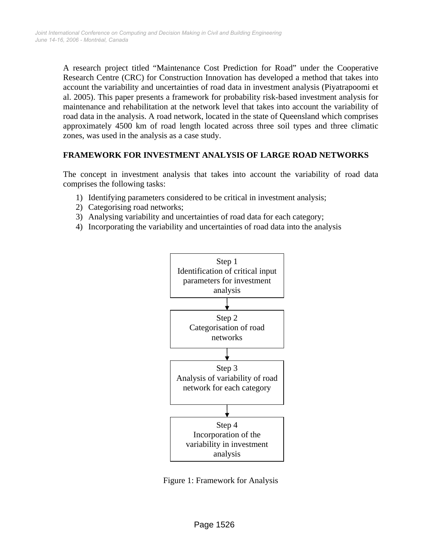A research project titled "Maintenance Cost Prediction for Road" under the Cooperative Research Centre (CRC) for Construction Innovation has developed a method that takes into account the variability and uncertainties of road data in investment analysis (Piyatrapoomi et al. 2005). This paper presents a framework for probability risk-based investment analysis for maintenance and rehabilitation at the network level that takes into account the variability of road data in the analysis. A road network, located in the state of Queensland which comprises approximately 4500 km of road length located across three soil types and three climatic zones, was used in the analysis as a case study.

#### **FRAMEWORK FOR INVESTMENT ANALYSIS OF LARGE ROAD NETWORKS**

The concept in investment analysis that takes into account the variability of road data comprises the following tasks:

- 1) Identifying parameters considered to be critical in investment analysis;
- 2) Categorising road networks;
- 3) Analysing variability and uncertainties of road data for each category;
- 4) Incorporating the variability and uncertainties of road data into the analysis



Figure 1: Framework for Analysis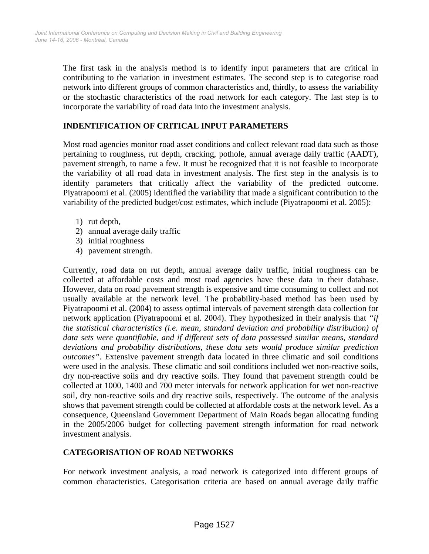The first task in the analysis method is to identify input parameters that are critical in contributing to the variation in investment estimates. The second step is to categorise road network into different groups of common characteristics and, thirdly, to assess the variability or the stochastic characteristics of the road network for each category. The last step is to incorporate the variability of road data into the investment analysis.

## **INDENTIFICATION OF CRITICAL INPUT PARAMETERS**

Most road agencies monitor road asset conditions and collect relevant road data such as those pertaining to roughness, rut depth, cracking, pothole, annual average daily traffic (AADT), pavement strength, to name a few. It must be recognized that it is not feasible to incorporate the variability of all road data in investment analysis. The first step in the analysis is to identify parameters that critically affect the variability of the predicted outcome. Piyatrapoomi et al. (2005) identified the variability that made a significant contribution to the variability of the predicted budget/cost estimates, which include (Piyatrapoomi et al. 2005):

- 1) rut depth,
- 2) annual average daily traffic
- 3) initial roughness
- 4) pavement strength.

Currently, road data on rut depth, annual average daily traffic, initial roughness can be collected at affordable costs and most road agencies have these data in their database. However, data on road pavement strength is expensive and time consuming to collect and not usually available at the network level. The probability-based method has been used by Piyatrapoomi et al. (2004) to assess optimal intervals of pavement strength data collection for network application (Piyatrapoomi et al. 2004). They hypothesized in their analysis that *"if the statistical characteristics (i.e. mean, standard deviation and probability distribution) of data sets were quantifiable, and if different sets of data possessed similar means, standard deviations and probability distributions, these data sets would produce similar prediction outcomes"*. Extensive pavement strength data located in three climatic and soil conditions were used in the analysis. These climatic and soil conditions included wet non-reactive soils, dry non-reactive soils and dry reactive soils. They found that pavement strength could be collected at 1000, 1400 and 700 meter intervals for network application for wet non-reactive soil, dry non-reactive soils and dry reactive soils, respectively. The outcome of the analysis shows that pavement strength could be collected at affordable costs at the network level. As a consequence, Queensland Government Department of Main Roads began allocating funding in the 2005/2006 budget for collecting pavement strength information for road network investment analysis.

### **CATEGORISATION OF ROAD NETWORKS**

For network investment analysis, a road network is categorized into different groups of common characteristics. Categorisation criteria are based on annual average daily traffic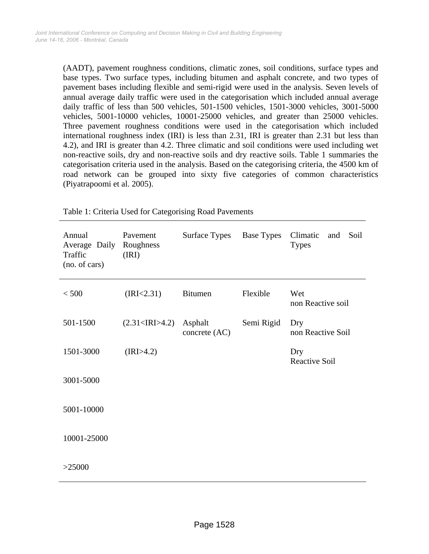(AADT), pavement roughness conditions, climatic zones, soil conditions, surface types and base types. Two surface types, including bitumen and asphalt concrete, and two types of pavement bases including flexible and semi-rigid were used in the analysis. Seven levels of annual average daily traffic were used in the categorisation which included annual average daily traffic of less than 500 vehicles, 501-1500 vehicles, 1501-3000 vehicles, 3001-5000 vehicles, 5001-10000 vehicles, 10001-25000 vehicles, and greater than 25000 vehicles. Three pavement roughness conditions were used in the categorisation which included international roughness index (IRI) is less than 2.31, IRI is greater than 2.31 but less than 4.2), and IRI is greater than 4.2. Three climatic and soil conditions were used including wet non-reactive soils, dry and non-reactive soils and dry reactive soils. Table 1 summaries the categorisation criteria used in the analysis. Based on the categorising criteria, the 4500 km of road network can be grouped into sixty five categories of common characteristics (Piyatrapoomi et al. 2005).

| Annual<br>Average Daily<br>Traffic<br>(no. of cars) | Pavement<br>Roughness<br>(IRI) | Surface Types            | <b>Base Types</b> | Climatic<br>Soil<br>and<br><b>Types</b> |
|-----------------------------------------------------|--------------------------------|--------------------------|-------------------|-----------------------------------------|
| < 500                                               | (IRI < 2.31)                   | <b>Bitumen</b>           | Flexible          | Wet<br>non Reactive soil                |
| 501-1500                                            | (2.31 <irj>4.2)</irj>          | Asphalt<br>concrete (AC) | Semi Rigid        | Dry<br>non Reactive Soil                |
| 1501-3000                                           | (IRI>4.2)                      |                          |                   | Dry<br><b>Reactive Soil</b>             |
| 3001-5000                                           |                                |                          |                   |                                         |
| 5001-10000                                          |                                |                          |                   |                                         |
| 10001-25000                                         |                                |                          |                   |                                         |
| >25000                                              |                                |                          |                   |                                         |

Table 1: Criteria Used for Categorising Road Pavements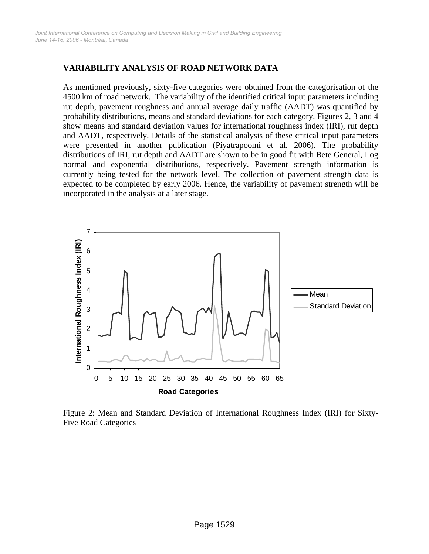## **VARIABILITY ANALYSIS OF ROAD NETWORK DATA**

As mentioned previously, sixty-five categories were obtained from the categorisation of the 4500 km of road network. The variability of the identified critical input parameters including rut depth, pavement roughness and annual average daily traffic (AADT) was quantified by probability distributions, means and standard deviations for each category. Figures 2, 3 and 4 show means and standard deviation values for international roughness index (IRI), rut depth and AADT, respectively. Details of the statistical analysis of these critical input parameters were presented in another publication (Piyatrapoomi et al. 2006). The probability distributions of IRI, rut depth and AADT are shown to be in good fit with Bete General, Log normal and exponential distributions, respectively. Pavement strength information is currently being tested for the network level. The collection of pavement strength data is expected to be completed by early 2006. Hence, the variability of pavement strength will be incorporated in the analysis at a later stage.



Figure 2: Mean and Standard Deviation of International Roughness Index (IRI) for Sixty-Five Road Categories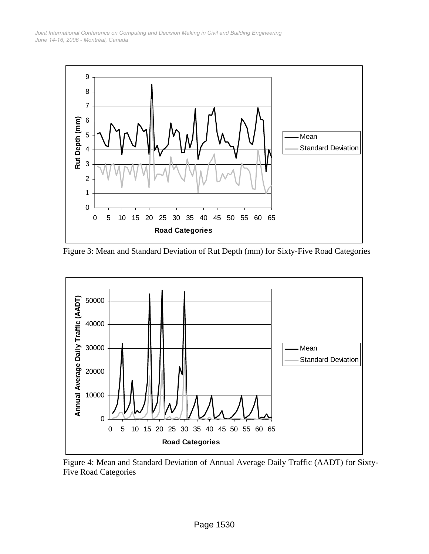*June 14-16, 2006 - Montréal, Canada Joint International Conference on Computing and Decision Making in Civil and Building Engineering*



Figure 3: Mean and Standard Deviation of Rut Depth (mm) for Sixty-Five Road Categories



Figure 4: Mean and Standard Deviation of Annual Average Daily Traffic (AADT) for Sixty-Five Road Categories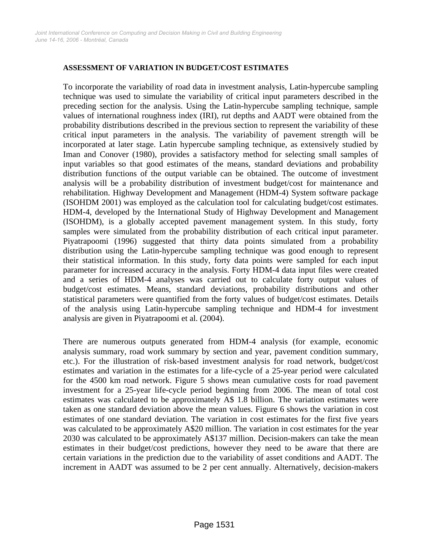#### **ASSESSMENT OF VARIATION IN BUDGET/COST ESTIMATES**

To incorporate the variability of road data in investment analysis, Latin-hypercube sampling technique was used to simulate the variability of critical input parameters described in the preceding section for the analysis. Using the Latin-hypercube sampling technique, sample values of international roughness index (IRI), rut depths and AADT were obtained from the probability distributions described in the previous section to represent the variability of these critical input parameters in the analysis. The variability of pavement strength will be incorporated at later stage. Latin hypercube sampling technique, as extensively studied by Iman and Conover (1980), provides a satisfactory method for selecting small samples of input variables so that good estimates of the means, standard deviations and probability distribution functions of the output variable can be obtained. The outcome of investment analysis will be a probability distribution of investment budget/cost for maintenance and rehabilitation. Highway Development and Management (HDM-4) System software package (ISOHDM 2001) was employed as the calculation tool for calculating budget/cost estimates. HDM-4, developed by the International Study of Highway Development and Management (ISOHDM), is a globally accepted pavement management system. In this study, forty samples were simulated from the probability distribution of each critical input parameter. Piyatrapoomi (1996) suggested that thirty data points simulated from a probability distribution using the Latin-hypercube sampling technique was good enough to represent their statistical information. In this study, forty data points were sampled for each input parameter for increased accuracy in the analysis. Forty HDM-4 data input files were created and a series of HDM-4 analyses was carried out to calculate forty output values of budget/cost estimates. Means, standard deviations, probability distributions and other statistical parameters were quantified from the forty values of budget/cost estimates. Details of the analysis using Latin-hypercube sampling technique and HDM-4 for investment analysis are given in Piyatrapoomi et al. (2004).

There are numerous outputs generated from HDM-4 analysis (for example, economic analysis summary, road work summary by section and year, pavement condition summary, etc.). For the illustration of risk-based investment analysis for road network, budget/cost estimates and variation in the estimates for a life-cycle of a 25-year period were calculated for the 4500 km road network. Figure 5 shows mean cumulative costs for road pavement investment for a 25-year life-cycle period beginning from 2006. The mean of total cost estimates was calculated to be approximately A\$ 1.8 billion. The variation estimates were taken as one standard deviation above the mean values. Figure 6 shows the variation in cost estimates of one standard deviation. The variation in cost estimates for the first five years was calculated to be approximately A\$20 million. The variation in cost estimates for the year 2030 was calculated to be approximately A\$137 million. Decision-makers can take the mean estimates in their budget/cost predictions, however they need to be aware that there are certain variations in the prediction due to the variability of asset conditions and AADT. The increment in AADT was assumed to be 2 per cent annually. Alternatively, decision-makers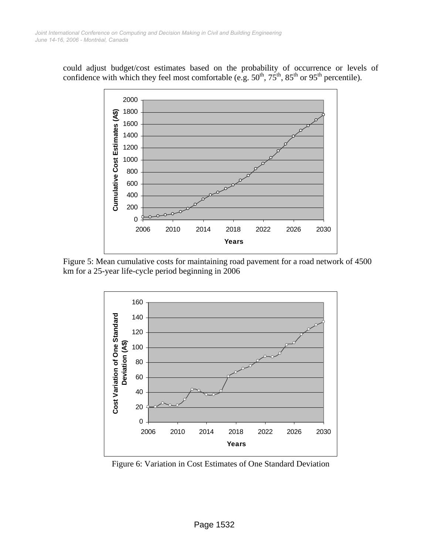could adjust budget/cost estimates based on the probability of occurrence or levels of confidence with which they feel most comfortable (e.g.  $50^{th}$ ,  $75^{th}$ ,  $85^{th}$  or  $95^{th}$  percentile).



Figure 5: Mean cumulative costs for maintaining road pavement for a road network of 4500 km for a 25-year life-cycle period beginning in 2006



Figure 6: Variation in Cost Estimates of One Standard Deviation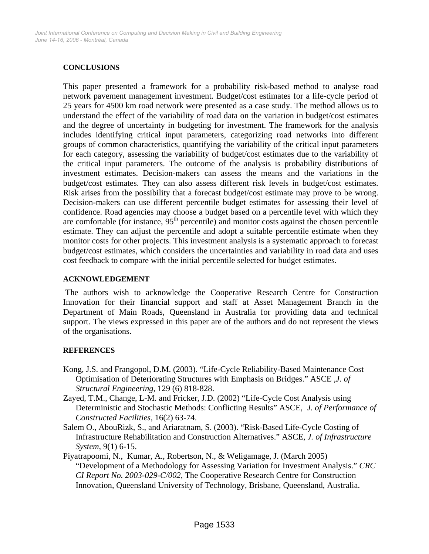#### **CONCLUSIONS**

This paper presented a framework for a probability risk-based method to analyse road network pavement management investment. Budget/cost estimates for a life-cycle period of 25 years for 4500 km road network were presented as a case study. The method allows us to understand the effect of the variability of road data on the variation in budget/cost estimates and the degree of uncertainty in budgeting for investment. The framework for the analysis includes identifying critical input parameters, categorizing road networks into different groups of common characteristics, quantifying the variability of the critical input parameters for each category, assessing the variability of budget/cost estimates due to the variability of the critical input parameters. The outcome of the analysis is probability distributions of investment estimates. Decision-makers can assess the means and the variations in the budget/cost estimates. They can also assess different risk levels in budget/cost estimates. Risk arises from the possibility that a forecast budget/cost estimate may prove to be wrong. Decision-makers can use different percentile budget estimates for assessing their level of confidence. Road agencies may choose a budget based on a percentile level with which they are comfortable (for instance,  $95<sup>th</sup>$  percentile) and monitor costs against the chosen percentile estimate. They can adjust the percentile and adopt a suitable percentile estimate when they monitor costs for other projects. This investment analysis is a systematic approach to forecast budget/cost estimates, which considers the uncertainties and variability in road data and uses cost feedback to compare with the initial percentile selected for budget estimates.

#### **ACKNOWLEDGEMENT**

The authors wish to acknowledge the Cooperative Research Centre for Construction Innovation for their financial support and staff at Asset Management Branch in the Department of Main Roads, Queensland in Australia for providing data and technical support. The views expressed in this paper are of the authors and do not represent the views of the organisations.

#### **REFERENCES**

- Kong, J.S. and Frangopol, D.M. (2003). "Life-Cycle Reliability-Based Maintenance Cost Optimisation of Deteriorating Structures with Emphasis on Bridges." ASCE *,J. of Structural Engineering*, 129 (6) 818-828.
- Zayed, T.M., Change, L-M. and Fricker, J.D. (2002) "Life-Cycle Cost Analysis using Deterministic and Stochastic Methods: Conflicting Results" ASCE, *J. of Performance of Constructed Facilities,* 16(2) 63-74.
- Salem O., AbouRizk, S., and Ariaratnam, S. (2003). "Risk-Based Life-Cycle Costing of Infrastructure Rehabilitation and Construction Alternatives." ASCE, *J. of Infrastructure System*, 9(1) 6-15.
- Piyatrapoomi, N., Kumar, A., Robertson, N., & Weligamage, J. (March 2005) "Development of a Methodology for Assessing Variation for Investment Analysis." *CRC CI Report No. 2003-029-C/002*, The Cooperative Research Centre for Construction Innovation, Queensland University of Technology, Brisbane, Queensland, Australia.